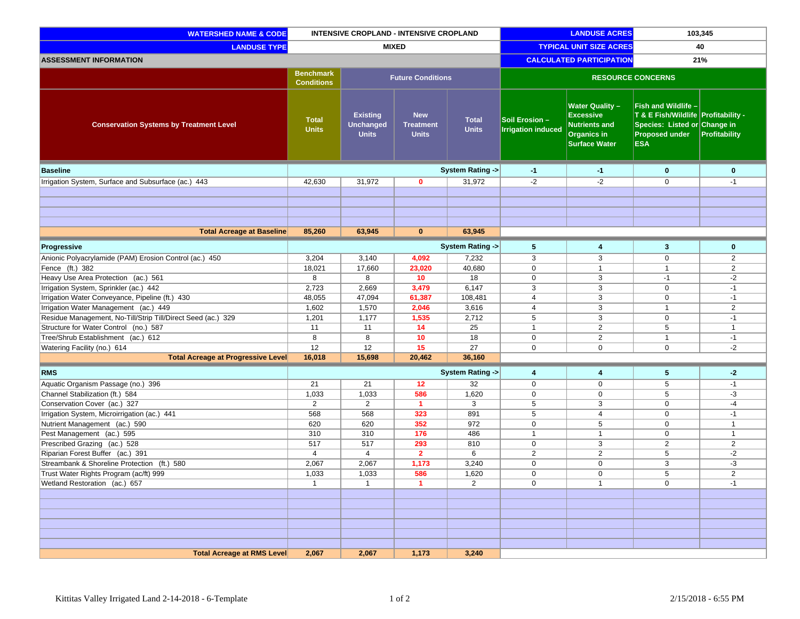| <b>WATERSHED NAME &amp; CODE</b>                             | INTENSIVE CROPLAND - INTENSIVE CROPLAND |                                                     |                                                | <b>LANDUSE ACRES</b>            |                                             | 103,345                                                                                                          |                                                                                                                                   |                |
|--------------------------------------------------------------|-----------------------------------------|-----------------------------------------------------|------------------------------------------------|---------------------------------|---------------------------------------------|------------------------------------------------------------------------------------------------------------------|-----------------------------------------------------------------------------------------------------------------------------------|----------------|
| <b>LANDUSE TYPE</b>                                          | <b>MIXED</b>                            |                                                     |                                                | <b>TYPICAL UNIT SIZE ACRES</b>  |                                             | 40                                                                                                               |                                                                                                                                   |                |
| <b>ASSESSMENT INFORMATION</b>                                |                                         |                                                     |                                                | <b>CALCULATED PARTICIPATION</b> |                                             | 21%                                                                                                              |                                                                                                                                   |                |
|                                                              | <b>Benchmark</b><br><b>Conditions</b>   |                                                     | <b>Future Conditions</b>                       |                                 |                                             | <b>RESOURCE CONCERNS</b>                                                                                         |                                                                                                                                   |                |
| <b>Conservation Systems by Treatment Level</b>               | <b>Total</b><br><b>Units</b>            | <b>Existing</b><br><b>Unchanged</b><br><b>Units</b> | <b>New</b><br><b>Treatment</b><br><b>Units</b> | <b>Total</b><br><b>Units</b>    | Soil Erosion -<br><b>Irrigation induced</b> | <b>Water Quality -</b><br><b>Excessive</b><br><b>Nutrients and</b><br><b>Organics in</b><br><b>Surface Water</b> | Fish and Wildlife -<br>T & E Fish/Wildlife Profitability -<br>Species: Listed or Change in<br><b>Proposed under</b><br><b>ESA</b> | Profitability  |
| <b>Baseline</b>                                              |                                         |                                                     |                                                | System Rating ->                | $-1$                                        | $-1$                                                                                                             | $\bf{0}$                                                                                                                          | $\mathbf 0$    |
| Irrigation System, Surface and Subsurface (ac.) 443          | 42,630                                  | 31,972                                              | $\mathbf 0$                                    | 31,972                          | $-2$                                        | $-2$                                                                                                             | $\mathbf 0$                                                                                                                       | $-1$           |
|                                                              |                                         |                                                     |                                                |                                 |                                             |                                                                                                                  |                                                                                                                                   |                |
|                                                              |                                         |                                                     |                                                |                                 |                                             |                                                                                                                  |                                                                                                                                   |                |
|                                                              |                                         |                                                     |                                                |                                 |                                             |                                                                                                                  |                                                                                                                                   |                |
|                                                              |                                         |                                                     |                                                |                                 |                                             |                                                                                                                  |                                                                                                                                   |                |
| <b>Total Acreage at Baseline</b>                             | 85,260                                  | 63,945                                              | $\mathbf{0}$                                   | 63,945                          |                                             |                                                                                                                  |                                                                                                                                   |                |
| Progressive                                                  |                                         |                                                     |                                                | System Rating ->                | 5                                           | 4                                                                                                                | $\mathbf{3}$                                                                                                                      | $\mathbf 0$    |
| Anionic Polyacrylamide (PAM) Erosion Control (ac.) 450       | 3,204                                   | 3,140                                               | 4,092                                          | 7,232                           | 3                                           | 3                                                                                                                | 0                                                                                                                                 | $\overline{2}$ |
| Fence (ft.) 382                                              | 18,021                                  | 17,660                                              | 23,020                                         | 40,680                          | $\mathbf 0$                                 | $\mathbf{1}$                                                                                                     | $\mathbf{1}$                                                                                                                      | $\overline{2}$ |
| Heavy Use Area Protection (ac.) 561                          | 8                                       | 8                                                   | 10                                             | 18                              | $\mathbf 0$                                 | 3                                                                                                                | $-1$                                                                                                                              | $-2$           |
| Irrigation System, Sprinkler (ac.) 442                       | 2,723                                   | 2,669                                               | 3,479                                          | 6,147                           | 3                                           | 3                                                                                                                | $\pmb{0}$                                                                                                                         | $-1$           |
| Irrigation Water Conveyance, Pipeline (ft.) 430              | 48,055                                  | 47,094                                              | 61,387                                         | 108,481                         | $\overline{4}$                              | 3                                                                                                                | $\mathbf 0$                                                                                                                       | $-1$           |
| Irrigation Water Management (ac.) 449                        | 1,602                                   | 1,570                                               | 2,046                                          | 3,616                           | $\overline{4}$                              | 3                                                                                                                | $\mathbf{1}$                                                                                                                      | $\overline{2}$ |
| Residue Management, No-Till/Strip Till/Direct Seed (ac.) 329 | 1,201                                   | 1,177                                               | 1,535                                          | 2,712                           | $\overline{5}$                              | 3                                                                                                                | $\mathbf 0$                                                                                                                       | $-1$           |
| Structure for Water Control (no.) 587                        | 11                                      | 11                                                  | 14                                             | 25                              | $\mathbf{1}$                                | $\overline{2}$                                                                                                   | 5                                                                                                                                 | $\mathbf{1}$   |
| Tree/Shrub Establishment (ac.) 612                           | 8                                       | 8                                                   | 10                                             | 18                              | $\mathbf 0$                                 | $\overline{2}$                                                                                                   | $\mathbf{1}$                                                                                                                      | $-1$           |
| Watering Facility (no.) 614                                  | 12                                      | 12                                                  | 15                                             | 27                              | $\mathbf{0}$                                | $\mathbf 0$                                                                                                      | $\mathbf 0$                                                                                                                       | $-2$           |
| <b>Total Acreage at Progressive Level</b>                    | 16,018                                  | 15,698                                              | 20,462                                         | 36,160                          |                                             |                                                                                                                  |                                                                                                                                   |                |
| <b>RMS</b>                                                   |                                         |                                                     |                                                | System Rating ->                | 4                                           | 4                                                                                                                | 5                                                                                                                                 | $-2$           |
| Aquatic Organism Passage (no.) 396                           | 21                                      | 21                                                  | 12                                             | 32                              | $\mathbf 0$                                 | $\mathbf 0$                                                                                                      | 5                                                                                                                                 | $-1$           |
| Channel Stabilization (ft.) 584                              | 1,033                                   | 1,033                                               | 586                                            | 1,620                           | $\mathbf 0$                                 | $\mathbf 0$                                                                                                      | 5                                                                                                                                 | -3             |
| Conservation Cover (ac.) 327                                 | 2                                       | 2                                                   | $\mathbf{1}$                                   | 3                               | 5                                           | 3                                                                                                                | $\mathbf 0$                                                                                                                       | $-4$           |
| Irrigation System, Microirrigation (ac.) 441                 | 568                                     | 568                                                 | 323                                            | 891                             | $5\phantom{.0}$                             | $\overline{4}$                                                                                                   | $\mathbf 0$                                                                                                                       | $-1$           |
| Nutrient Management (ac.) 590                                | 620                                     | 620                                                 | 352                                            | 972                             | $\mathbf 0$                                 | 5                                                                                                                | $\mathbf 0$                                                                                                                       | $\mathbf{1}$   |
| Pest Management (ac.) 595                                    | 310                                     | 310                                                 | 176                                            | 486                             | $\mathbf{1}$                                | $\overline{1}$                                                                                                   | $\mathbf 0$                                                                                                                       | $\mathbf{1}$   |
| Prescribed Grazing (ac.) 528                                 | 517                                     | 517                                                 | 293                                            | 810                             | $\mathbf 0$                                 | 3                                                                                                                | $\overline{2}$                                                                                                                    | $\overline{2}$ |
| Riparian Forest Buffer (ac.) 391                             | $\overline{4}$                          | $\overline{4}$                                      | $\overline{2}$                                 | 6                               | $\overline{2}$                              | 2                                                                                                                | 5                                                                                                                                 | $-2$           |
| Streambank & Shoreline Protection (ft.) 580                  | 2,067                                   | 2,067                                               | 1,173                                          | 3,240                           | $\mathbf 0$                                 | $\mathbf 0$                                                                                                      | 3                                                                                                                                 | -3             |
| Trust Water Rights Program (ac/ft) 999                       | 1,033                                   | 1,033                                               | 586                                            | 1,620                           | $\mathbf{0}$                                | $\mathbf 0$                                                                                                      | 5                                                                                                                                 | $\overline{2}$ |
| Wetland Restoration (ac.) 657                                | $\mathbf{1}$                            | $\mathbf{1}$                                        | $\mathbf 1$                                    | 2                               | 0                                           | $\mathbf{1}$                                                                                                     | 0                                                                                                                                 | $-1$           |
|                                                              |                                         |                                                     |                                                |                                 |                                             |                                                                                                                  |                                                                                                                                   |                |
|                                                              |                                         |                                                     |                                                |                                 |                                             |                                                                                                                  |                                                                                                                                   |                |
|                                                              |                                         |                                                     |                                                |                                 |                                             |                                                                                                                  |                                                                                                                                   |                |
|                                                              |                                         |                                                     |                                                |                                 |                                             |                                                                                                                  |                                                                                                                                   |                |
|                                                              |                                         |                                                     |                                                |                                 |                                             |                                                                                                                  |                                                                                                                                   |                |
| <b>Total Acreage at RMS Level</b>                            | 2,067                                   | 2,067                                               | 1,173                                          | 3,240                           |                                             |                                                                                                                  |                                                                                                                                   |                |
|                                                              |                                         |                                                     |                                                |                                 |                                             |                                                                                                                  |                                                                                                                                   |                |